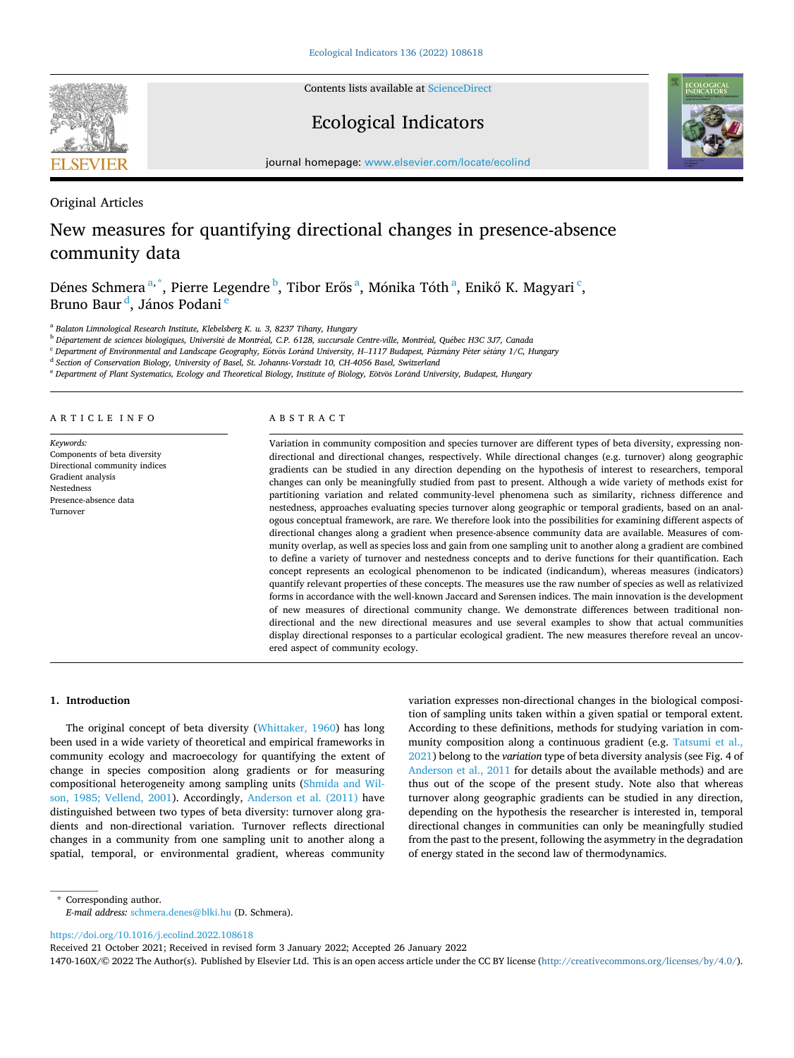

Contents lists available at [ScienceDirect](www.sciencedirect.com/science/journal/1470160X)

# Ecological Indicators



journal homepage: [www.elsevier.com/locate/ecolind](https://www.elsevier.com/locate/ecolind)

Original Articles

# New measures for quantifying directional changes in presence-absence community data

Dénes Schmera <sup>a,\*</sup>, Pierre Legendre <sup>b</sup>, Tibor Erős <sup>a</sup>, Mónika Tóth <sup>a</sup>, Enikő K. Magyari <sup>c</sup>, Bruno Baur <sup>d</sup>, János Podani <sup>e</sup>

<sup>a</sup> *Balaton Limnological Research Institute, Klebelsberg K. u. 3, 8237 Tihany, Hungary* 

<sup>b</sup> *D*´*epartement de sciences biologiques, Universit*´*e de Montr*´*eal, C.P. 6128, succursale Centre-ville, Montr*´*eal, Qu*´*ebec H3C 3J7, Canada* 

 $^{\rm c}$  Department of Environmental and Landscape Geography, Eötvös Loránd University, H–1117 Budapest, Pázmány Péter sétány 1/C, Hungary

<sup>d</sup> *Section of Conservation Biology, University of Basel, St. Johanns-Vorstadt 10, CH-4056 Basel, Switzerland* 

 $^{\rm e}$  Department of Plant Systematics, Ecology and Theoretical Biology, Institute of Biology, Eötvös Loránd University, Budapest, Hungary

#### ARTICLE INFO

*Keywords:*  Components of beta diversity Directional community indices Gradient analysis Nestedness Presence-absence data Turnover

#### ABSTRACT

Variation in community composition and species turnover are different types of beta diversity, expressing nondirectional and directional changes, respectively. While directional changes (e.g. turnover) along geographic gradients can be studied in any direction depending on the hypothesis of interest to researchers, temporal changes can only be meaningfully studied from past to present. Although a wide variety of methods exist for partitioning variation and related community-level phenomena such as similarity, richness difference and nestedness, approaches evaluating species turnover along geographic or temporal gradients, based on an analogous conceptual framework, are rare. We therefore look into the possibilities for examining different aspects of directional changes along a gradient when presence-absence community data are available. Measures of community overlap, as well as species loss and gain from one sampling unit to another along a gradient are combined to define a variety of turnover and nestedness concepts and to derive functions for their quantification. Each concept represents an ecological phenomenon to be indicated (indicandum), whereas measures (indicators) quantify relevant properties of these concepts. The measures use the raw number of species as well as relativized forms in accordance with the well-known Jaccard and Sørensen indices. The main innovation is the development of new measures of directional community change. We demonstrate differences between traditional nondirectional and the new directional measures and use several examples to show that actual communities display directional responses to a particular ecological gradient. The new measures therefore reveal an uncovered aspect of community ecology.

#### **1. Introduction**

The original concept of beta diversity [\(Whittaker, 1960\)](#page-8-0) has long been used in a wide variety of theoretical and empirical frameworks in community ecology and macroecology for quantifying the extent of change in species composition along gradients or for measuring compositional heterogeneity among sampling units ([Shmida and Wil](#page-8-0)[son, 1985; Vellend, 2001](#page-8-0)). Accordingly, [Anderson et al. \(2011\)](#page-8-0) have distinguished between two types of beta diversity: turnover along gradients and non-directional variation. Turnover reflects directional changes in a community from one sampling unit to another along a spatial, temporal, or environmental gradient, whereas community

variation expresses non-directional changes in the biological composition of sampling units taken within a given spatial or temporal extent. According to these definitions, methods for studying variation in community composition along a continuous gradient (e.g. [Tatsumi et al.,](#page-8-0)  [2021\)](#page-8-0) belong to the *variation* type of beta diversity analysis (see Fig. 4 of [Anderson et al., 2011](#page-8-0) for details about the available methods) and are thus out of the scope of the present study. Note also that whereas turnover along geographic gradients can be studied in any direction, depending on the hypothesis the researcher is interested in, temporal directional changes in communities can only be meaningfully studied from the past to the present, following the asymmetry in the degradation of energy stated in the second law of thermodynamics.

\* Corresponding author. *E-mail address:* [schmera.denes@blki.hu](mailto:schmera.denes@blki.hu) (D. Schmera).

<https://doi.org/10.1016/j.ecolind.2022.108618>

Received 21 October 2021; Received in revised form 3 January 2022; Accepted 26 January 2022

1470-160X/© 2022 The Author(s). Published by Elsevier Ltd. This is an open access article under the CC BY license [\(http://creativecommons.org/licenses/by/4.0/\)](http://creativecommons.org/licenses/by/4.0/).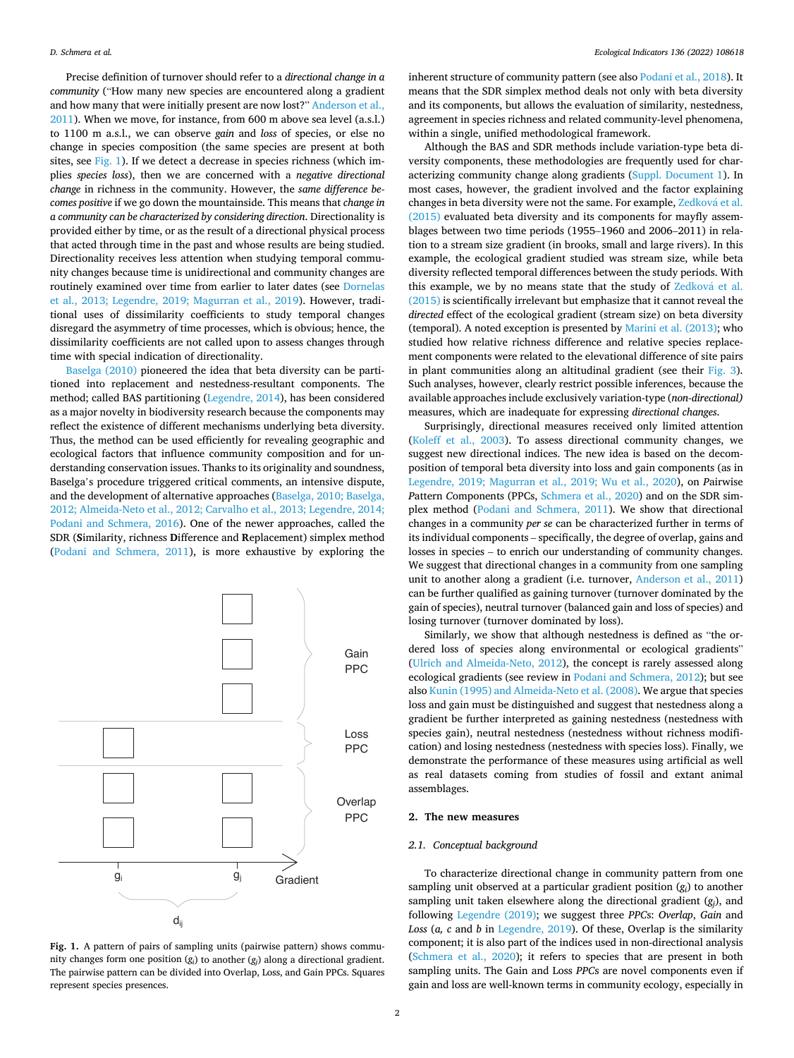<span id="page-1-0"></span>Precise definition of turnover should refer to a *directional change in a community* ("How many new species are encountered along a gradient and how many that were initially present are now lost?" [Anderson et al.,](#page-8-0)  [2011\)](#page-8-0). When we move, for instance, from 600 m above sea level (a.s.l.) to 1100 m a.s.l., we can observe *gain* and *loss* of species, or else no change in species composition (the same species are present at both sites, see Fig. 1). If we detect a decrease in species richness (which implies *species loss*), then we are concerned with a *negative directional change* in richness in the community. However, the *same difference becomes positive* if we go down the mountainside. This means that *change in a community can be characterized by considering direction*. Directionality is provided either by time, or as the result of a directional physical process that acted through time in the past and whose results are being studied. Directionality receives less attention when studying temporal community changes because time is unidirectional and community changes are routinely examined over time from earlier to later dates (see [Dornelas](#page-8-0)  [et al., 2013; Legendre, 2019; Magurran et al., 2019](#page-8-0)). However, traditional uses of dissimilarity coefficients to study temporal changes disregard the asymmetry of time processes, which is obvious; hence, the dissimilarity coefficients are not called upon to assess changes through time with special indication of directionality.

[Baselga \(2010\)](#page-8-0) pioneered the idea that beta diversity can be partitioned into replacement and nestedness-resultant components. The method; called BAS partitioning ([Legendre, 2014](#page-8-0)), has been considered as a major novelty in biodiversity research because the components may reflect the existence of different mechanisms underlying beta diversity. Thus, the method can be used efficiently for revealing geographic and ecological factors that influence community composition and for understanding conservation issues. Thanks to its originality and soundness, Baselga's procedure triggered critical comments, an intensive dispute, and the development of alternative approaches ([Baselga, 2010; Baselga,](#page-8-0)  [2012; Almeida-Neto et al., 2012; Carvalho et al., 2013; Legendre, 2014;](#page-8-0)  [Podani and Schmera, 2016](#page-8-0)). One of the newer approaches, called the SDR (**S**imilarity, richness **D**ifference and **R**eplacement) simplex method ([Podani and Schmera, 2011](#page-8-0)), is more exhaustive by exploring the



**Fig. 1.** A pattern of pairs of sampling units (pairwise pattern) shows community changes form one position (*gi*) to another (*gj*) along a directional gradient. The pairwise pattern can be divided into Overlap, Loss, and Gain PPCs. Squares represent species presences.

inherent structure of community pattern (see also [Podani et al., 2018](#page-8-0)). It means that the SDR simplex method deals not only with beta diversity and its components, but allows the evaluation of similarity, nestedness, agreement in species richness and related community-level phenomena, within a single, unified methodological framework.

Although the BAS and SDR methods include variation-type beta diversity components, these methodologies are frequently used for characterizing community change along gradients (Suppl. Document 1). In most cases, however, the gradient involved and the factor explaining changes in beta diversity were not the same. For example, Zedková et al. [\(2015\)](#page-8-0) evaluated beta diversity and its components for mayfly assemblages between two time periods (1955–1960 and 2006–2011) in relation to a stream size gradient (in brooks, small and large rivers). In this example, the ecological gradient studied was stream size, while beta diversity reflected temporal differences between the study periods. With this example, we by no means state that the study of Zedková et al. [\(2015\)](#page-8-0) is scientifically irrelevant but emphasize that it cannot reveal the *directed* effect of the ecological gradient (stream size) on beta diversity (temporal). A noted exception is presented by [Marini et al. \(2013\)](#page-8-0); who studied how relative richness difference and relative species replacement components were related to the elevational difference of site pairs in plant communities along an altitudinal gradient (see their [Fig. 3](#page-4-0)). Such analyses, however, clearly restrict possible inferences, because the available approaches include exclusively variation-type (*non-directional)*  measures, which are inadequate for expressing *directional changes*.

Surprisingly, directional measures received only limited attention ([Koleff et al., 2003\)](#page-8-0). To assess directional community changes, we suggest new directional indices. The new idea is based on the decomposition of temporal beta diversity into loss and gain components (as in [Legendre, 2019; Magurran et al., 2019; Wu et al., 2020\)](#page-8-0), on *P*airwise *P*attern *C*omponents (PPCs, [Schmera et al., 2020](#page-8-0)) and on the SDR simplex method [\(Podani and Schmera, 2011\)](#page-8-0). We show that directional changes in a community *per se* can be characterized further in terms of its individual components – specifically, the degree of overlap, gains and losses in species – to enrich our understanding of community changes. We suggest that directional changes in a community from one sampling unit to another along a gradient (i.e. turnover, [Anderson et al., 2011\)](#page-8-0) can be further qualified as gaining turnover (turnover dominated by the gain of species), neutral turnover (balanced gain and loss of species) and losing turnover (turnover dominated by loss).

Similarly, we show that although nestedness is defined as "the ordered loss of species along environmental or ecological gradients" ([Ulrich and Almeida-Neto, 2012\)](#page-8-0), the concept is rarely assessed along ecological gradients (see review in [Podani and Schmera, 2012](#page-8-0)); but see also [Kunin \(1995\) and Almeida-Neto et al. \(2008\).](#page-8-0) We argue that species loss and gain must be distinguished and suggest that nestedness along a gradient be further interpreted as gaining nestedness (nestedness with species gain), neutral nestedness (nestedness without richness modification) and losing nestedness (nestedness with species loss). Finally, we demonstrate the performance of these measures using artificial as well as real datasets coming from studies of fossil and extant animal assemblages.

# **2. The new measures**

## *2.1. Conceptual background*

To characterize directional change in community pattern from one sampling unit observed at a particular gradient position (*gi*) to another sampling unit taken elsewhere along the directional gradient (*gj*), and following [Legendre \(2019\)](#page-8-0); we suggest three *PPC*s: *Overlap*, *Gain* and *Loss* (*a, c* and *b* in [Legendre, 2019\)](#page-8-0). Of these, Overlap is the similarity component; it is also part of the indices used in non-directional analysis ([Schmera et al., 2020\)](#page-8-0); it refers to species that are present in both sampling units. The Gain and Loss *PPC*s are novel components even if gain and loss are well-known terms in community ecology, especially in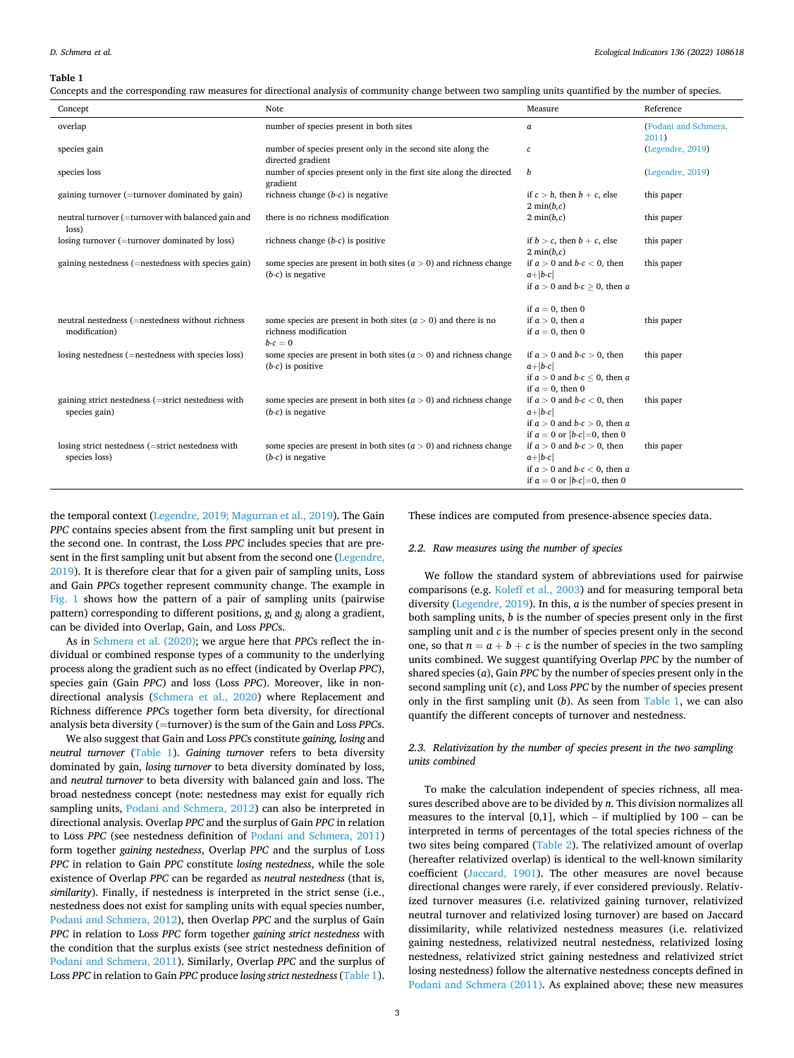#### <span id="page-2-0"></span>**Table 1**

| Concepts and the corresponding raw measures for directional analysis of community change between two sampling units quantified by the number of species. |  |  |  |
|----------------------------------------------------------------------------------------------------------------------------------------------------------|--|--|--|
|                                                                                                                                                          |  |  |  |
|                                                                                                                                                          |  |  |  |
|                                                                                                                                                          |  |  |  |

| Concept                                                             | Note                                                                                                 | Measure                                                                                                                 | Reference                     |
|---------------------------------------------------------------------|------------------------------------------------------------------------------------------------------|-------------------------------------------------------------------------------------------------------------------------|-------------------------------|
| overlap                                                             | number of species present in both sites                                                              | a                                                                                                                       | (Podani and Schmera,<br>2011) |
| species gain                                                        | number of species present only in the second site along the<br>directed gradient                     | с                                                                                                                       | (Legendre, 2019)              |
| species loss                                                        | number of species present only in the first site along the directed<br>gradient                      | b                                                                                                                       | (Legendre, 2019)              |
| gaining turnover (=turnover dominated by gain)                      | richness change $(b-c)$ is negative                                                                  | if $c > b$ , then $b + c$ , else<br>$2 \min(b,c)$                                                                       | this paper                    |
| neutral turnover (=turnover with balanced gain and<br>loss)         | there is no richness modification                                                                    | $2 \min(b,c)$                                                                                                           | this paper                    |
| losing turnover (=turnover dominated by loss)                       | richness change $(b-c)$ is positive                                                                  | if $b > c$ , then $b + c$ , else<br>$2 \min(b,c)$                                                                       | this paper                    |
| gaining nestedness (=nestedness with species gain)                  | some species are present in both sites $(a > 0)$ and richness change<br>$(b-c)$ is negative          | if $a > 0$ and $b-c < 0$ , then<br>$a+ b-c $<br>if $a > 0$ and $b-c \ge 0$ , then a                                     | this paper                    |
|                                                                     |                                                                                                      | if $a = 0$ , then 0                                                                                                     |                               |
| neutral nestedness (=nestedness without richness<br>modification)   | some species are present in both sites $(a > 0)$ and there is no<br>richness modification<br>$b-c=0$ | if $a > 0$ , then a<br>if $a = 0$ , then 0                                                                              | this paper                    |
| losing nestedness (=nestedness with species loss)                   | some species are present in both sites $(a > 0)$ and richness change<br>$(b-c)$ is positive          | if $a > 0$ and $b-c > 0$ , then<br>$a+ b-c $<br>if $a > 0$ and $b-c \le 0$ , then a<br>if $a = 0$ , then 0              | this paper                    |
| gaining strict nestedness (=strict nestedness with<br>species gain) | some species are present in both sites $(a > 0)$ and richness change<br>$(b-c)$ is negative          | if $a > 0$ and $b-c < 0$ , then<br>$a+ b-c $<br>if $a > 0$ and $b-c > 0$ , then a<br>if $a = 0$ or $ b-c  = 0$ , then 0 | this paper                    |
| losing strict nestedness (=strict nestedness with<br>species loss)  | some species are present in both sites $(a > 0)$ and richness change<br>$(b-c)$ is negative          | if $a > 0$ and $b-c > 0$ , then<br>$a+ b-c $<br>if $a > 0$ and $b-c < 0$ , then a<br>if $a = 0$ or $ b-c  = 0$ , then 0 | this paper                    |

the temporal context [\(Legendre, 2019; Magurran et al., 2019\)](#page-8-0). The Gain *PPC* contains species absent from the first sampling unit but present in the second one. In contrast, the Loss *PPC* includes species that are present in the first sampling unit but absent from the second one [\(Legendre,](#page-8-0)  [2019\)](#page-8-0). It is therefore clear that for a given pair of sampling units, Loss and Gain *PPC*s together represent community change. The example in [Fig. 1](#page-1-0) shows how the pattern of a pair of sampling units (pairwise pattern) corresponding to different positions, *gi* and *gj* along a gradient, can be divided into Overlap, Gain, and Loss *PPC*s.

As in [Schmera et al. \(2020\);](#page-8-0) we argue here that *PPC*s reflect the individual or combined response types of a community to the underlying process along the gradient such as no effect (indicated by Overlap *PPC*), species gain (Gain *PPC*) and loss (Loss *PPC*). Moreover, like in nondirectional analysis ([Schmera et al., 2020](#page-8-0)) where Replacement and Richness difference *PPC*s together form beta diversity, for directional analysis beta diversity (=turnover) is the sum of the Gain and Loss *PPC*s.

We also suggest that Gain and Loss *PPC*s constitute *gaining, losing* and *neutral turnover* (Table 1). *Gaining turnover* refers to beta diversity dominated by gain, *losing turnover* to beta diversity dominated by loss, and *neutral turnover* to beta diversity with balanced gain and loss. The broad nestedness concept (note: nestedness may exist for equally rich sampling units, [Podani and Schmera, 2012](#page-8-0)) can also be interpreted in directional analysis. Overlap *PPC* and the surplus of Gain *PPC* in relation to Loss *PPC* (see nestedness definition of [Podani and Schmera, 2011\)](#page-8-0) form together *gaining nestedness*, Overlap *PPC* and the surplus of Loss *PPC* in relation to Gain *PPC* constitute *losing nestedness*, while the sole existence of Overlap *PPC* can be regarded as *neutral nestedness* (that is, *similarity*). Finally, if nestedness is interpreted in the strict sense (i.e., nestedness does not exist for sampling units with equal species number, [Podani and Schmera, 2012\)](#page-8-0), then Overlap *PPC* and the surplus of Gain *PPC* in relation to Loss *PPC* form together *gaining strict nestedness* with the condition that the surplus exists (see strict nestedness definition of [Podani and Schmera, 2011](#page-8-0)). Similarly, Overlap *PPC* and the surplus of Loss *PPC* in relation to Gain *PPC* produce *losing strict nestedness* (Table 1).

These indices are computed from presence-absence species data.

# *2.2. Raw measures using the number of species*

We follow the standard system of abbreviations used for pairwise comparisons (e.g. [Koleff et al., 2003](#page-8-0)) and for measuring temporal beta diversity [\(Legendre, 2019\)](#page-8-0). In this, *a* is the number of species present in both sampling units, *b* is the number of species present only in the first sampling unit and *c* is the number of species present only in the second one, so that  $n = a + b + c$  is the number of species in the two sampling units combined. We suggest quantifying Overlap *PPC* by the number of shared species (*a*), Gain *PPC* by the number of species present only in the second sampling unit (*c*), and Loss *PPC* by the number of species present only in the first sampling unit (*b*). As seen from Table 1, we can also quantify the different concepts of turnover and nestedness.

# *2.3. Relativization by the number of species present in the two sampling units combined*

To make the calculation independent of species richness, all measures described above are to be divided by *n*. This division normalizes all measures to the interval  $[0,1]$ , which – if multiplied by  $100$  – can be interpreted in terms of percentages of the total species richness of the two sites being compared ([Table 2](#page-3-0)). The relativized amount of overlap (hereafter relativized overlap) is identical to the well-known similarity coefficient ([Jaccard, 1901\)](#page-8-0). The other measures are novel because directional changes were rarely, if ever considered previously. Relativized turnover measures (i.e. relativized gaining turnover, relativized neutral turnover and relativized losing turnover) are based on Jaccard dissimilarity, while relativized nestedness measures (i.e. relativized gaining nestedness, relativized neutral nestedness, relativized losing nestedness, relativized strict gaining nestedness and relativized strict losing nestedness) follow the alternative nestedness concepts defined in [Podani and Schmera \(2011\).](#page-8-0) As explained above; these new measures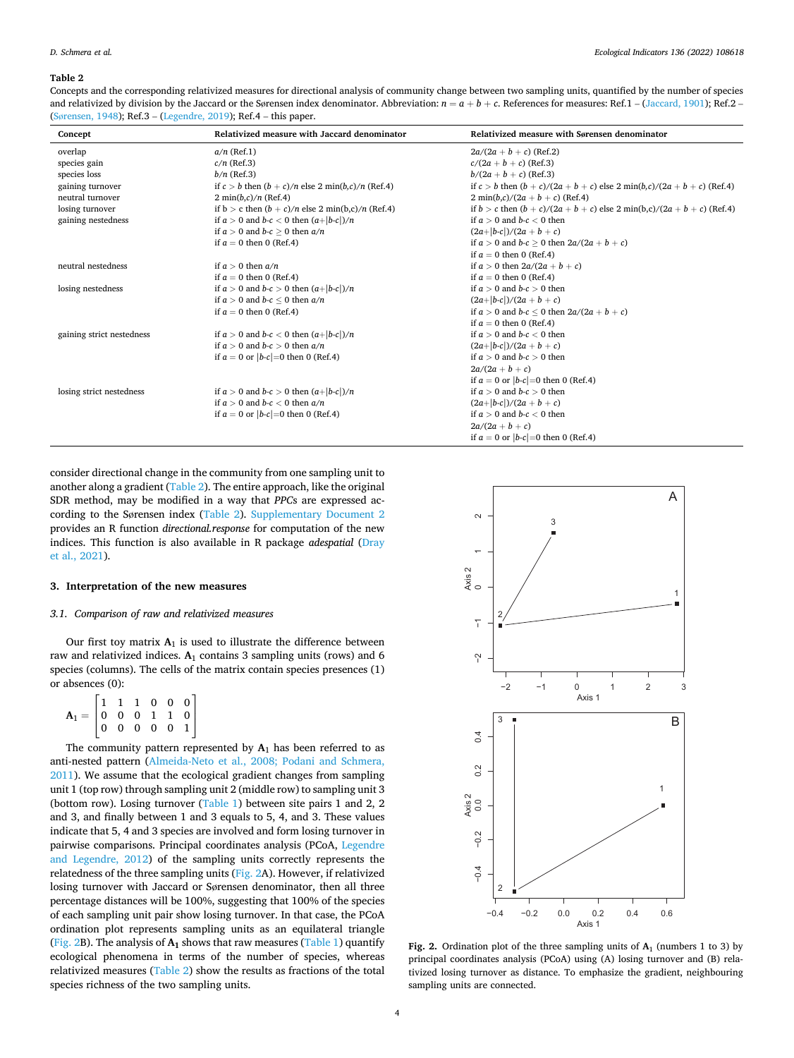#### <span id="page-3-0"></span>**Table 2**

Concepts and the corresponding relativized measures for directional analysis of community change between two sampling units, quantified by the number of species and relativized by division by the Jaccard or the Sørensen index denominator. Abbreviation:  $n = a + b + c$ . References for measures: Ref.1 – ([Jaccard, 1901\)](#page-8-0); Ref.2 – (Sø[rensen, 1948\)](#page-8-0); Ref.3 – ([Legendre, 2019](#page-8-0)); Ref.4 – this paper.

| Concept                   | Relativized measure with Jaccard denominator              | Relativized measure with Sørensen denominator                               |
|---------------------------|-----------------------------------------------------------|-----------------------------------------------------------------------------|
| overlap                   | $a/n$ (Ref.1)                                             | $2a/(2a + b + c)$ (Ref.2)                                                   |
| species gain              | $c/n$ (Ref.3)                                             | $c/(2a + b + c)$ (Ref.3)                                                    |
| species loss              | $b/n$ (Ref.3)                                             | $b/(2a + b + c)$ (Ref.3)                                                    |
| gaining turnover          | if $c > b$ then $(b + c)/n$ else 2 min $(b, c)/n$ (Ref.4) | if $c > b$ then $(b + c)/(2a + b + c)$ else 2 min(b,c)/(2a + b + c) (Ref.4) |
| neutral turnover          | $2 \min(b,c)/n$ (Ref.4)                                   | $2 min(b,c)/(2a+b+c)$ (Ref.4)                                               |
| losing turnover           | if $b > c$ then $(b + c)/n$ else 2 min(b,c)/n (Ref.4)     | if $b > c$ then $(b + c)/(2a + b + c)$ else 2 min(b,c)/(2a + b + c) (Ref.4) |
| gaining nestedness        | if $a > 0$ and $b-c < 0$ then $(a+ b-c )/n$               | if $a > 0$ and $b-c < 0$ then                                               |
|                           | if $a > 0$ and $b-c > 0$ then $a/n$                       | $(2a+ b-c )/(2a+b+c)$                                                       |
|                           | if $a = 0$ then 0 (Ref.4)                                 | if $a > 0$ and $b-c > 0$ then $2a/(2a+b+c)$                                 |
|                           |                                                           | if $a = 0$ then 0 (Ref.4)                                                   |
| neutral nestedness        | if $a > 0$ then $a/n$                                     | if $a > 0$ then $2a/(2a + b + c)$                                           |
|                           | if $a = 0$ then 0 (Ref.4)                                 | if $a = 0$ then 0 (Ref.4)                                                   |
| losing nestedness         | if $a > 0$ and $b-c > 0$ then $(a+ b-c )/n$               | if $a > 0$ and $b-c > 0$ then                                               |
|                           | if $a > 0$ and $b-c < 0$ then $a/n$                       | $(2a+ b-c )/(2a+b+c)$                                                       |
|                           | if $a = 0$ then 0 (Ref.4)                                 | if $a > 0$ and $b-c < 0$ then $2a/(2a+b+c)$                                 |
|                           |                                                           | if $a = 0$ then 0 (Ref.4)                                                   |
| gaining strict nestedness | if $a > 0$ and $b-c < 0$ then $(a+ b-c )/n$               | if $a > 0$ and $b-c < 0$ then                                               |
|                           | if $a > 0$ and $b-c > 0$ then $a/n$                       | $(2a+ b-c )/(2a+b+c)$                                                       |
|                           | if $a = 0$ or $ b-c  = 0$ then 0 (Ref.4)                  | if $a > 0$ and $b-c > 0$ then                                               |
|                           |                                                           | $2a/(2a+b+c)$                                                               |
|                           |                                                           | if $a = 0$ or $ b-c  = 0$ then 0 (Ref.4)                                    |
| losing strict nestedness  | if $a > 0$ and $b-c > 0$ then $\frac{a +  b-c }{n}$       | if $a > 0$ and $b-c > 0$ then                                               |
|                           | if $a > 0$ and $b-c < 0$ then $a/n$                       | $(2a+ b-c )/(2a+b+c)$                                                       |
|                           | if $a = 0$ or $ b-c  = 0$ then 0 (Ref.4)                  | if $a > 0$ and $b-c < 0$ then                                               |
|                           |                                                           | $2a/(2a+b+c)$                                                               |
|                           |                                                           | if $a = 0$ or $ b-c  = 0$ then 0 (Ref.4)                                    |

consider directional change in the community from one sampling unit to another along a gradient (Table 2). The entire approach, like the original SDR method, may be modified in a way that *PPC*s are expressed according to the Sørensen index (Table 2). Supplementary Document 2 provides an R function *directional.response* for computation of the new indices. This function is also available in R package *adespatial* ([Dray](#page-8-0)  [et al., 2021\)](#page-8-0).

# **3. Interpretation of the new measures**

### *3.1. Comparison of raw and relativized measures*

Our first toy matrix **A**1 is used to illustrate the difference between raw and relativized indices. **A**1 contains 3 sampling units (rows) and 6 species (columns). The cells of the matrix contain species presences (1) or absences (0):  $\overline{a}$ 

| $\mathbf{A}_1 = \begin{bmatrix} 1 & 1 & 1 & 0 & 0 & 0 \ 0 & 0 & 0 & 1 & 1 & 0 \ 0 & 0 & 0 & 0 & 0 & 1 \end{bmatrix}$ |  |  |      |  |
|----------------------------------------------------------------------------------------------------------------------|--|--|------|--|
|                                                                                                                      |  |  |      |  |
|                                                                                                                      |  |  | $-1$ |  |

The community pattern represented by  $A_1$  has been referred to as anti-nested pattern ([Almeida-Neto et al., 2008; Podani and Schmera,](#page-8-0)  [2011\)](#page-8-0). We assume that the ecological gradient changes from sampling unit 1 (top row) through sampling unit 2 (middle row) to sampling unit 3 (bottom row). Losing turnover [\(Table 1\)](#page-2-0) between site pairs 1 and 2, 2 and 3, and finally between 1 and 3 equals to 5, 4, and 3. These values indicate that 5, 4 and 3 species are involved and form losing turnover in pairwise comparisons. Principal coordinates analysis (PCoA, [Legendre](#page-8-0)  [and Legendre, 2012](#page-8-0)) of the sampling units correctly represents the relatedness of the three sampling units (Fig. 2A). However, if relativized losing turnover with Jaccard or Sørensen denominator, then all three percentage distances will be 100%, suggesting that 100% of the species of each sampling unit pair show losing turnover. In that case, the PCoA ordination plot represents sampling units as an equilateral triangle (Fig. 2B). The analysis of **A1** shows that raw measures ([Table 1](#page-2-0)) quantify ecological phenomena in terms of the number of species, whereas relativized measures (Table 2) show the results as fractions of the total species richness of the two sampling units.



**Fig. 2.** Ordination plot of the three sampling units of **A**1 (numbers 1 to 3) by principal coordinates analysis (PCoA) using (A) losing turnover and (B) relativized losing turnover as distance. To emphasize the gradient, neighbouring sampling units are connected.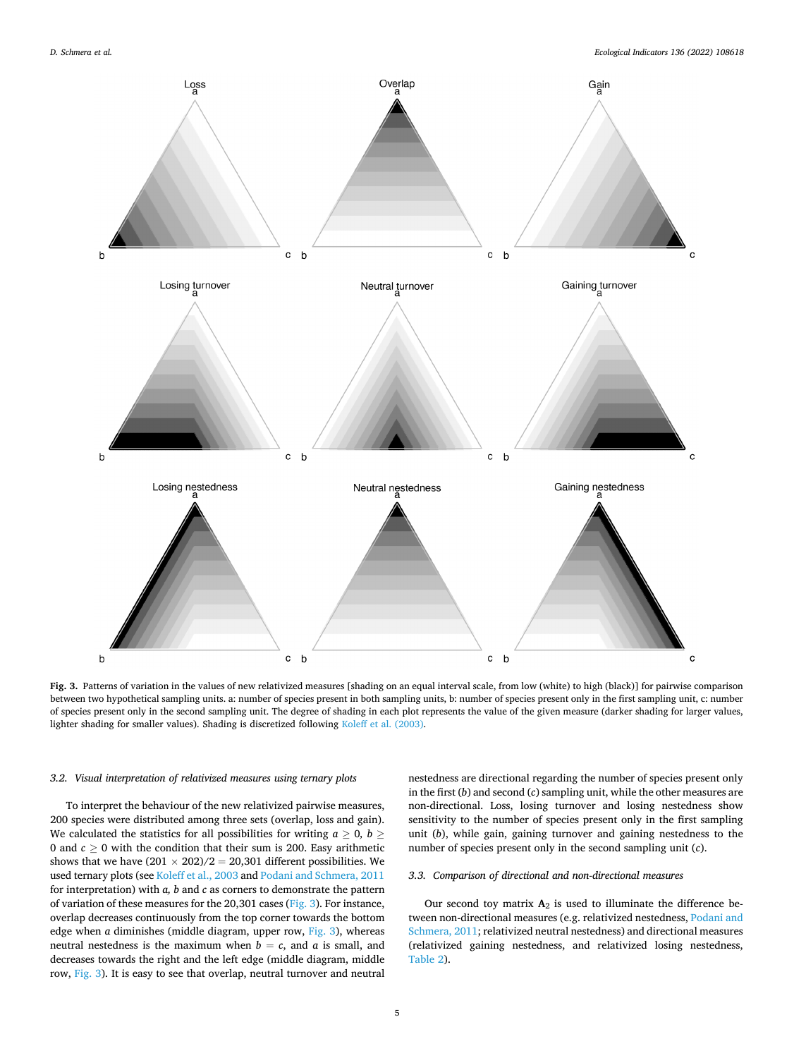<span id="page-4-0"></span>

**Fig. 3.** Patterns of variation in the values of new relativized measures [shading on an equal interval scale, from low (white) to high (black)] for pairwise comparison between two hypothetical sampling units. a: number of species present in both sampling units, b: number of species present only in the first sampling unit, c: number of species present only in the second sampling unit. The degree of shading in each plot represents the value of the given measure (darker shading for larger values, lighter shading for smaller values). Shading is discretized following [Koleff et al. \(2003\).](#page-8-0)

### *3.2. Visual interpretation of relativized measures using ternary plots*

To interpret the behaviour of the new relativized pairwise measures, 200 species were distributed among three sets (overlap, loss and gain). We calculated the statistics for all possibilities for writing  $a \geq 0$ ,  $b \geq 0$ 0 and  $c \ge 0$  with the condition that their sum is 200. Easy arithmetic shows that we have  $(201 \times 202)/2 = 20,301$  different possibilities. We used ternary plots (see [Koleff et al., 2003](#page-8-0) and [Podani and Schmera, 2011](#page-8-0)  for interpretation) with *a, b* and *c* as corners to demonstrate the pattern of variation of these measures for the 20,301 cases (Fig. 3). For instance, overlap decreases continuously from the top corner towards the bottom edge when *a* diminishes (middle diagram, upper row, Fig. 3), whereas neutral nestedness is the maximum when  $b = c$ , and  $a$  is small, and decreases towards the right and the left edge (middle diagram, middle row, Fig. 3). It is easy to see that overlap, neutral turnover and neutral

nestedness are directional regarding the number of species present only in the first (*b*) and second (*c*) sampling unit, while the other measures are non-directional. Loss, losing turnover and losing nestedness show sensitivity to the number of species present only in the first sampling unit (*b*), while gain, gaining turnover and gaining nestedness to the number of species present only in the second sampling unit (*c*).

# *3.3. Comparison of directional and non-directional measures*

Our second toy matrix  $A_2$  is used to illuminate the difference between non-directional measures (e.g. relativized nestedness, [Podani and](#page-8-0)  [Schmera, 2011;](#page-8-0) relativized neutral nestedness) and directional measures (relativized gaining nestedness, and relativized losing nestedness, [Table 2](#page-3-0)).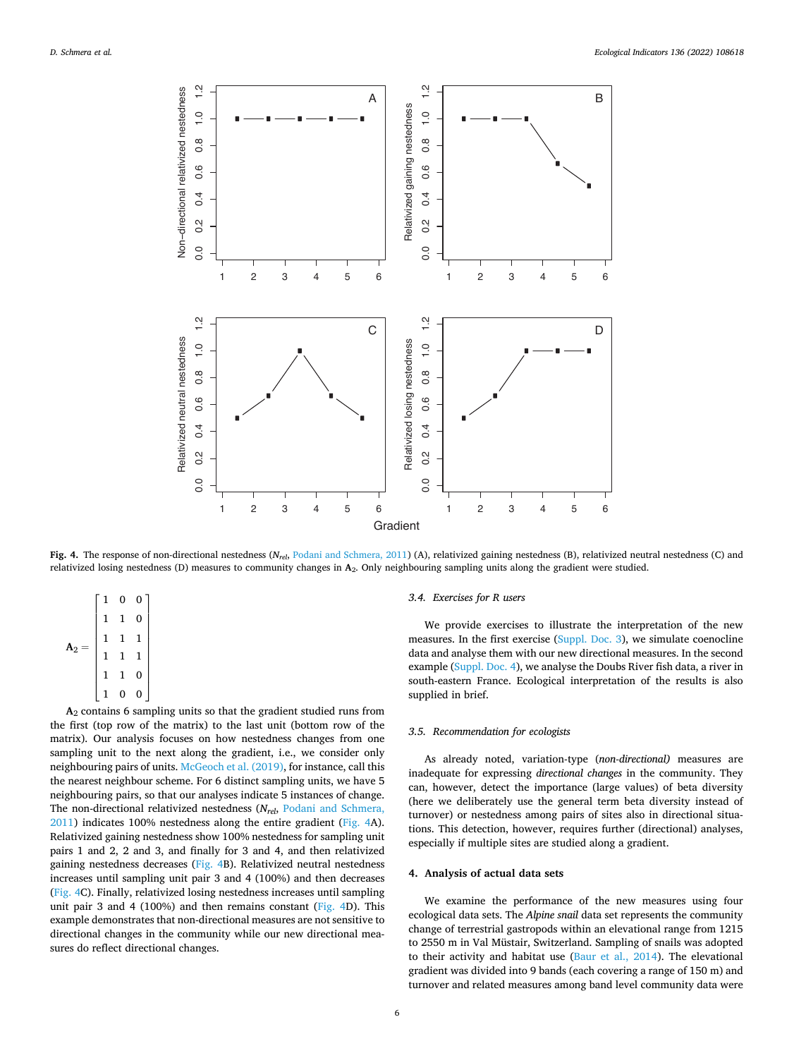<span id="page-5-0"></span>

**Fig. 4.** The response of non-directional nestedness (*Nrel*, [Podani and Schmera, 2011\)](#page-8-0) (A), relativized gaining nestedness (B), relativized neutral nestedness (C) and relativized losing nestedness (D) measures to community changes in **A**2. Only neighbouring sampling units along the gradient were studied.

|                | $\mathbf{1}$ | 0 | 0 |  |
|----------------|--------------|---|---|--|
|                | 1<br>1       |   | 0 |  |
|                |              | 1 | 1 |  |
| $\mathtt{A}_2$ | 1            | 1 | 1 |  |
|                | 1            | 1 | 0 |  |
|                |              | 0 | 0 |  |

**A**2 contains 6 sampling units so that the gradient studied runs from the first (top row of the matrix) to the last unit (bottom row of the matrix). Our analysis focuses on how nestedness changes from one sampling unit to the next along the gradient, i.e., we consider only neighbouring pairs of units. [McGeoch et al. \(2019\),](#page-8-0) for instance, call this the nearest neighbour scheme. For 6 distinct sampling units, we have 5 neighbouring pairs, so that our analyses indicate 5 instances of change. The non-directional relativized nestedness (*Nrel*, [Podani and Schmera,](#page-8-0)  [2011\)](#page-8-0) indicates 100% nestedness along the entire gradient (Fig. 4A). Relativized gaining nestedness show 100% nestedness for sampling unit pairs 1 and 2, 2 and 3, and finally for 3 and 4, and then relativized gaining nestedness decreases (Fig. 4B). Relativized neutral nestedness increases until sampling unit pair 3 and 4 (100%) and then decreases (Fig. 4C). Finally, relativized losing nestedness increases until sampling unit pair 3 and 4 (100%) and then remains constant (Fig. 4D). This example demonstrates that non-directional measures are not sensitive to directional changes in the community while our new directional measures do reflect directional changes.

### *3.4. Exercises for R users*

We provide exercises to illustrate the interpretation of the new measures. In the first exercise (Suppl. Doc. 3), we simulate coenocline data and analyse them with our new directional measures. In the second example (Suppl. Doc. 4), we analyse the Doubs River fish data, a river in south-eastern France. Ecological interpretation of the results is also supplied in brief.

#### *3.5. Recommendation for ecologists*

As already noted, variation-type (*non-directional)* measures are inadequate for expressing *directional changes* in the community. They can, however, detect the importance (large values) of beta diversity (here we deliberately use the general term beta diversity instead of turnover) or nestedness among pairs of sites also in directional situations. This detection, however, requires further (directional) analyses, especially if multiple sites are studied along a gradient.

#### **4. Analysis of actual data sets**

We examine the performance of the new measures using four ecological data sets. The *Alpine snail* data set represents the community change of terrestrial gastropods within an elevational range from 1215 to 2550 m in Val Müstair, Switzerland. Sampling of snails was adopted to their activity and habitat use ([Baur et al., 2014](#page-8-0)). The elevational gradient was divided into 9 bands (each covering a range of 150 m) and turnover and related measures among band level community data were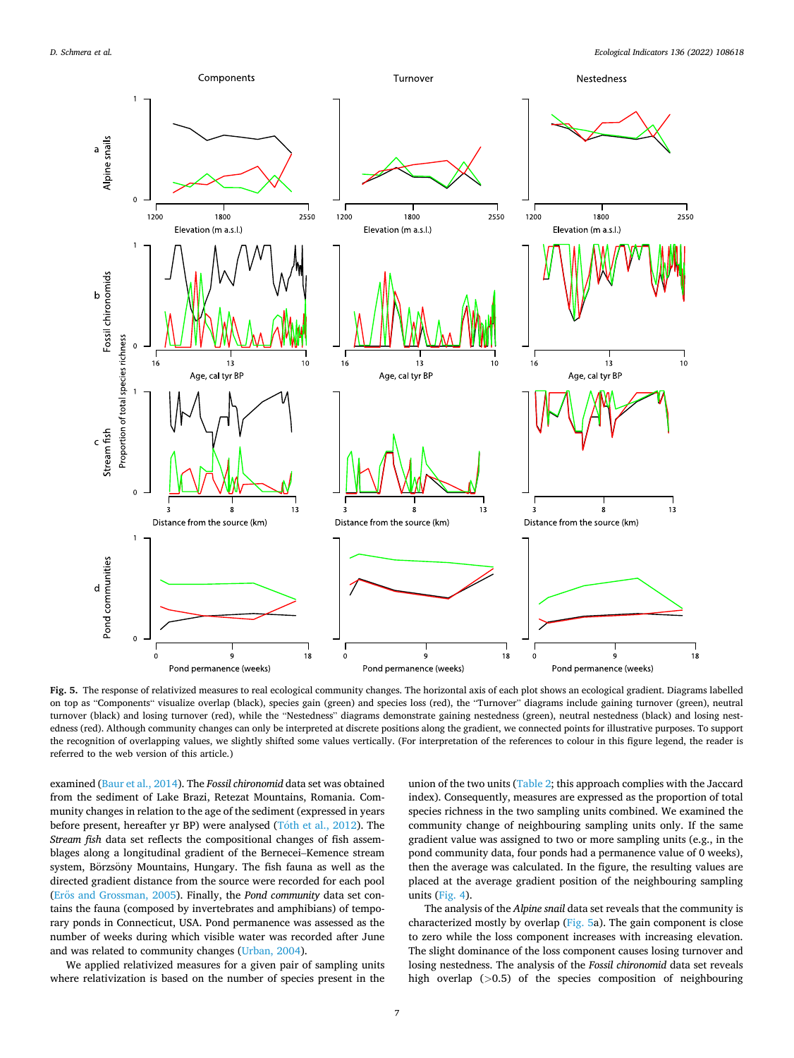<span id="page-6-0"></span>

**Fig. 5.** The response of relativized measures to real ecological community changes. The horizontal axis of each plot shows an ecological gradient. Diagrams labelled on top as "Components" visualize overlap (black), species gain (green) and species loss (red), the "Turnover" diagrams include gaining turnover (green), neutral turnover (black) and losing turnover (red), while the "Nestedness" diagrams demonstrate gaining nestedness (green), neutral nestedness (black) and losing nestedness (red). Although community changes can only be interpreted at discrete positions along the gradient, we connected points for illustrative purposes. To support the recognition of overlapping values, we slightly shifted some values vertically. (For interpretation of the references to colour in this figure legend, the reader is referred to the web version of this article.)

examined [\(Baur et al., 2014](#page-8-0)). The *Fossil chironomid* data set was obtained from the sediment of Lake Brazi, Retezat Mountains, Romania. Community changes in relation to the age of the sediment (expressed in years before present, hereafter yr BP) were analysed ( $T<sub>o</sub>$ th [et al., 2012\)](#page-8-0). The *Stream fish* data set reflects the compositional changes of fish assemblages along a longitudinal gradient of the Bernecei–Kemence stream system, Börzsöny Mountains, Hungary. The fish fauna as well as the directed gradient distance from the source were recorded for each pool (Erős [and Grossman, 2005](#page-8-0)). Finally, the *Pond community* data set contains the fauna (composed by invertebrates and amphibians) of temporary ponds in Connecticut, USA. Pond permanence was assessed as the number of weeks during which visible water was recorded after June and was related to community changes [\(Urban, 2004\)](#page-8-0).

We applied relativized measures for a given pair of sampling units where relativization is based on the number of species present in the union of the two units ([Table 2;](#page-3-0) this approach complies with the Jaccard index). Consequently, measures are expressed as the proportion of total species richness in the two sampling units combined. We examined the community change of neighbouring sampling units only. If the same gradient value was assigned to two or more sampling units (e.g., in the pond community data, four ponds had a permanence value of 0 weeks), then the average was calculated. In the figure, the resulting values are placed at the average gradient position of the neighbouring sampling units [\(Fig. 4](#page-5-0)).

The analysis of the *Alpine snail* data set reveals that the community is characterized mostly by overlap (Fig. 5a). The gain component is close to zero while the loss component increases with increasing elevation. The slight dominance of the loss component causes losing turnover and losing nestedness. The analysis of the *Fossil chironomid* data set reveals high overlap (*>*0.5) of the species composition of neighbouring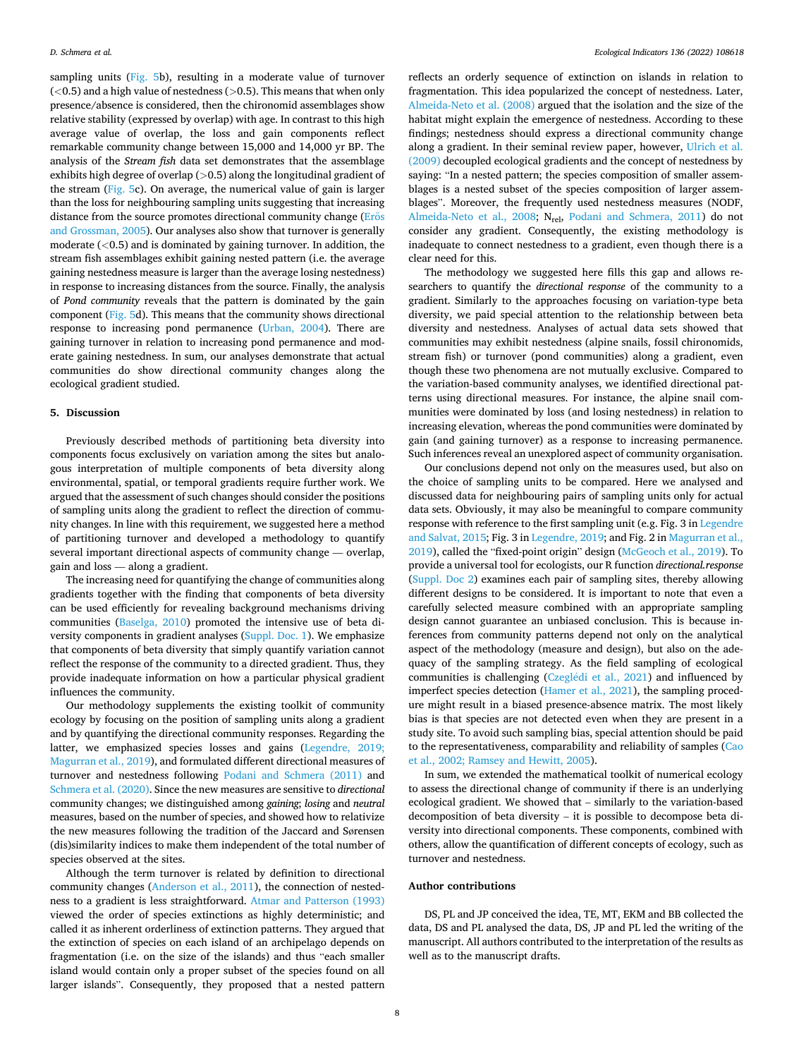sampling units ([Fig. 5](#page-6-0)b), resulting in a moderate value of turnover (*<*0.5) and a high value of nestedness (*>*0.5). This means that when only presence/absence is considered, then the chironomid assemblages show relative stability (expressed by overlap) with age. In contrast to this high average value of overlap, the loss and gain components reflect remarkable community change between 15,000 and 14,000 yr BP. The analysis of the *Stream fish* data set demonstrates that the assemblage exhibits high degree of overlap (*>*0.5) along the longitudinal gradient of the stream ([Fig. 5](#page-6-0)c). On average, the numerical value of gain is larger than the loss for neighbouring sampling units suggesting that increasing distance from the source promotes directional community change (Erős [and Grossman, 2005\)](#page-8-0). Our analyses also show that turnover is generally moderate (*<*0.5) and is dominated by gaining turnover. In addition, the stream fish assemblages exhibit gaining nested pattern (i.e. the average gaining nestedness measure is larger than the average losing nestedness) in response to increasing distances from the source. Finally, the analysis of *Pond community* reveals that the pattern is dominated by the gain component [\(Fig. 5d](#page-6-0)). This means that the community shows directional response to increasing pond permanence ([Urban, 2004](#page-8-0)). There are gaining turnover in relation to increasing pond permanence and moderate gaining nestedness. In sum, our analyses demonstrate that actual communities do show directional community changes along the ecological gradient studied.

#### **5. Discussion**

Previously described methods of partitioning beta diversity into components focus exclusively on variation among the sites but analogous interpretation of multiple components of beta diversity along environmental, spatial, or temporal gradients require further work. We argued that the assessment of such changes should consider the positions of sampling units along the gradient to reflect the direction of community changes. In line with this requirement, we suggested here a method of partitioning turnover and developed a methodology to quantify several important directional aspects of community change — overlap, gain and loss — along a gradient.

The increasing need for quantifying the change of communities along gradients together with the finding that components of beta diversity can be used efficiently for revealing background mechanisms driving communities ([Baselga, 2010\)](#page-8-0) promoted the intensive use of beta diversity components in gradient analyses (Suppl. Doc. 1). We emphasize that components of beta diversity that simply quantify variation cannot reflect the response of the community to a directed gradient. Thus, they provide inadequate information on how a particular physical gradient influences the community.

Our methodology supplements the existing toolkit of community ecology by focusing on the position of sampling units along a gradient and by quantifying the directional community responses. Regarding the latter, we emphasized species losses and gains [\(Legendre, 2019;](#page-8-0)  [Magurran et al., 2019\)](#page-8-0), and formulated different directional measures of turnover and nestedness following [Podani and Schmera \(2011\)](#page-8-0) and [Schmera et al. \(2020\)](#page-8-0). Since the new measures are sensitive to *directional*  community changes; we distinguished among *gaining*; *losing* and *neutral*  measures, based on the number of species, and showed how to relativize the new measures following the tradition of the Jaccard and Sørensen (dis)similarity indices to make them independent of the total number of species observed at the sites.

Although the term turnover is related by definition to directional community changes [\(Anderson et al., 2011\)](#page-8-0), the connection of nestedness to a gradient is less straightforward. [Atmar and Patterson \(1993\)](#page-8-0)  viewed the order of species extinctions as highly deterministic; and called it as inherent orderliness of extinction patterns. They argued that the extinction of species on each island of an archipelago depends on fragmentation (i.e. on the size of the islands) and thus "each smaller island would contain only a proper subset of the species found on all larger islands". Consequently, they proposed that a nested pattern

reflects an orderly sequence of extinction on islands in relation to fragmentation. This idea popularized the concept of nestedness. Later, [Almeida-Neto et al. \(2008\)](#page-8-0) argued that the isolation and the size of the habitat might explain the emergence of nestedness. According to these findings; nestedness should express a directional community change along a gradient. In their seminal review paper, however, [Ulrich et al.](#page-8-0)  [\(2009\)](#page-8-0) decoupled ecological gradients and the concept of nestedness by saying: "In a nested pattern; the species composition of smaller assemblages is a nested subset of the species composition of larger assemblages". Moreover, the frequently used nestedness measures (NODF, [Almeida-Neto et al., 2008](#page-8-0); Nrel, [Podani and Schmera, 2011\)](#page-8-0) do not consider any gradient. Consequently, the existing methodology is inadequate to connect nestedness to a gradient, even though there is a clear need for this.

The methodology we suggested here fills this gap and allows researchers to quantify the *directional response* of the community to a gradient. Similarly to the approaches focusing on variation-type beta diversity, we paid special attention to the relationship between beta diversity and nestedness. Analyses of actual data sets showed that communities may exhibit nestedness (alpine snails, fossil chironomids, stream fish) or turnover (pond communities) along a gradient, even though these two phenomena are not mutually exclusive. Compared to the variation-based community analyses, we identified directional patterns using directional measures. For instance, the alpine snail communities were dominated by loss (and losing nestedness) in relation to increasing elevation, whereas the pond communities were dominated by gain (and gaining turnover) as a response to increasing permanence. Such inferences reveal an unexplored aspect of community organisation.

Our conclusions depend not only on the measures used, but also on the choice of sampling units to be compared. Here we analysed and discussed data for neighbouring pairs of sampling units only for actual data sets. Obviously, it may also be meaningful to compare community response with reference to the first sampling unit (e.g. Fig. 3 in [Legendre](#page-8-0)  [and Salvat, 2015;](#page-8-0) Fig. 3 in [Legendre, 2019](#page-8-0); and Fig. 2 in [Magurran et al.,](#page-8-0)  [2019\)](#page-8-0), called the "fixed-point origin" design ([McGeoch et al., 2019](#page-8-0)). To provide a universal tool for ecologists, our R function *directional.response*  (Suppl. Doc 2) examines each pair of sampling sites, thereby allowing different designs to be considered. It is important to note that even a carefully selected measure combined with an appropriate sampling design cannot guarantee an unbiased conclusion. This is because inferences from community patterns depend not only on the analytical aspect of the methodology (measure and design), but also on the adequacy of the sampling strategy. As the field sampling of ecological communities is challenging (Czeglédi et al., 2021) and influenced by imperfect species detection [\(Hamer et al., 2021](#page-8-0)), the sampling procedure might result in a biased presence-absence matrix. The most likely bias is that species are not detected even when they are present in a study site. To avoid such sampling bias, special attention should be paid to the representativeness, comparability and reliability of samples [\(Cao](#page-8-0)  [et al., 2002; Ramsey and Hewitt, 2005](#page-8-0)).

In sum, we extended the mathematical toolkit of numerical ecology to assess the directional change of community if there is an underlying ecological gradient. We showed that – similarly to the variation-based decomposition of beta diversity – it is possible to decompose beta diversity into directional components. These components, combined with others, allow the quantification of different concepts of ecology, such as turnover and nestedness.

# **Author contributions**

DS, PL and JP conceived the idea, TE, MT, EKM and BB collected the data, DS and PL analysed the data, DS, JP and PL led the writing of the manuscript. All authors contributed to the interpretation of the results as well as to the manuscript drafts.